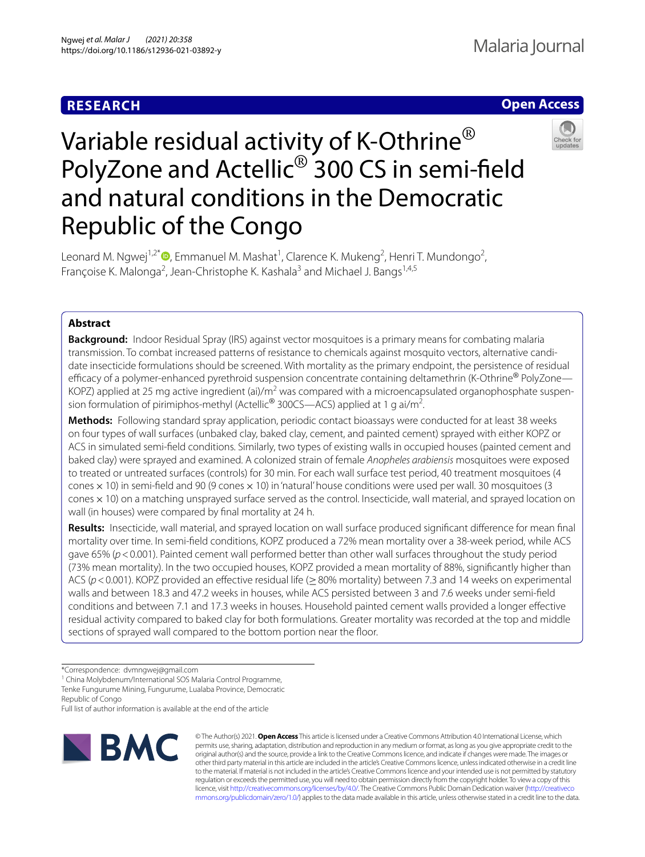## **RESEARCH**



# Variable residual activity of K-Othrine<sup>®</sup> PolyZone and Actellic® 300 CS in semi-feld and natural conditions in the Democratic Republic of the Congo



Leonard M. Ngwej<sup>1,2\*</sup><sup>®</sup>[,](http://orcid.org/0000-0003-0167-1853) Emmanuel M. Mashat<sup>1</sup>, Clarence K. Mukeng<sup>2</sup>, Henri T. Mundongo<sup>2</sup>, Françoise K. Malonga<sup>2</sup>, Jean-Christophe K. Kashala<sup>3</sup> and Michael J. Bangs<sup>1,4,5</sup>

## **Abstract**

**Background:** Indoor Residual Spray (IRS) against vector mosquitoes is a primary means for combating malaria transmission. To combat increased patterns of resistance to chemicals against mosquito vectors, alternative candidate insecticide formulations should be screened. With mortality as the primary endpoint, the persistence of residual efficacy of a polymer-enhanced pyrethroid suspension concentrate containing deltamethrin (K-Othrine® PolyZone— KOPZ) applied at 25 mg active ingredient (ai)/m<sup>2</sup> was compared with a microencapsulated organophosphate suspension formulation of pirimiphos-methyl (Actellic<sup>®</sup> 300CS—ACS) applied at 1 g ai/m<sup>2</sup>. .

**Methods:** Following standard spray application, periodic contact bioassays were conducted for at least 38 weeks on four types of wall surfaces (unbaked clay, baked clay, cement, and painted cement) sprayed with either KOPZ or ACS in simulated semi-feld conditions. Similarly, two types of existing walls in occupied houses (painted cement and baked clay) were sprayed and examined. A colonized strain of female *Anopheles arabiensis* mosquitoes were exposed to treated or untreated surfaces (controls) for 30 min. For each wall surface test period, 40 treatment mosquitoes (4 cones  $\times$  10) in semi-field and 90 (9 cones  $\times$  10) in 'natural' house conditions were used per wall. 30 mosquitoes (3 cones×10) on a matching unsprayed surface served as the control. Insecticide, wall material, and sprayed location on wall (in houses) were compared by fnal mortality at 24 h.

**Results:** Insecticide, wall material, and sprayed location on wall surface produced signifcant diference for mean fnal mortality over time. In semi-feld conditions, KOPZ produced a 72% mean mortality over a 38-week period, while ACS gave 65% ( $p$  < 0.001). Painted cement wall performed better than other wall surfaces throughout the study period (73% mean mortality). In the two occupied houses, KOPZ provided a mean mortality of 88%, signifcantly higher than ACS (*p* < 0.001). KOPZ provided an effective residual life (≥80% mortality) between 7.3 and 14 weeks on experimental walls and between 18.3 and 47.2 weeks in houses, while ACS persisted between 3 and 7.6 weeks under semi-feld conditions and between 7.1 and 17.3 weeks in houses. Household painted cement walls provided a longer efective residual activity compared to baked clay for both formulations. Greater mortality was recorded at the top and middle sections of sprayed wall compared to the bottom portion near the foor.

Full list of author information is available at the end of the article



© The Author(s) 2021. **Open Access** This article is licensed under a Creative Commons Attribution 4.0 International License, which permits use, sharing, adaptation, distribution and reproduction in any medium or format, as long as you give appropriate credit to the original author(s) and the source, provide a link to the Creative Commons licence, and indicate if changes were made. The images or other third party material in this article are included in the article's Creative Commons licence, unless indicated otherwise in a credit line to the material. If material is not included in the article's Creative Commons licence and your intended use is not permitted by statutory regulation or exceeds the permitted use, you will need to obtain permission directly from the copyright holder. To view a copy of this licence, visit [http://creativecommons.org/licenses/by/4.0/.](http://creativecommons.org/licenses/by/4.0/) The Creative Commons Public Domain Dedication waiver ([http://creativeco](http://creativecommons.org/publicdomain/zero/1.0/) [mmons.org/publicdomain/zero/1.0/](http://creativecommons.org/publicdomain/zero/1.0/)) applies to the data made available in this article, unless otherwise stated in a credit line to the data.

<sup>\*</sup>Correspondence: dvmngwej@gmail.com

<sup>&</sup>lt;sup>1</sup> China Molybdenum/International SOS Malaria Control Programme, Tenke Fungurume Mining, Fungurume, Lualaba Province, Democratic

Republic of Congo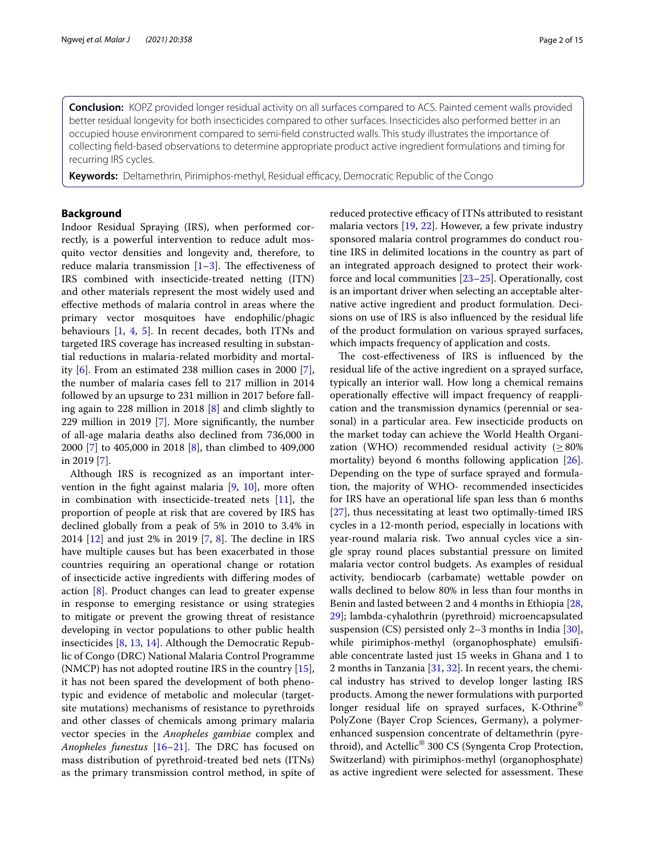**Conclusion:** KOPZ provided longer residual activity on all surfaces compared to ACS. Painted cement walls provided better residual longevity for both insecticides compared to other surfaces. Insecticides also performed better in an occupied house environment compared to semi-feld constructed walls. This study illustrates the importance of collecting feld-based observations to determine appropriate product active ingredient formulations and timing for recurring IRS cycles.

Keywords: Deltamethrin, Pirimiphos-methyl, Residual efficacy, Democratic Republic of the Congo

## **Background**

Indoor Residual Spraying (IRS), when performed correctly, is a powerful intervention to reduce adult mosquito vector densities and longevity and, therefore, to reduce malaria transmission  $[1-3]$  $[1-3]$ . The effectiveness of IRS combined with insecticide-treated netting (ITN) and other materials represent the most widely used and efective methods of malaria control in areas where the primary vector mosquitoes have endophilic/phagic behaviours [[1,](#page-13-0) [4,](#page-13-2) [5](#page-13-3)]. In recent decades, both ITNs and targeted IRS coverage has increased resulting in substantial reductions in malaria-related morbidity and mortality [\[6](#page-13-4)]. From an estimated 238 million cases in 2000 [\[7](#page-13-5)], the number of malaria cases fell to 217 million in 2014 followed by an upsurge to 231 million in 2017 before falling again to 228 million in 2018 [\[8\]](#page-13-6) and climb slightly to 229 million in 2019 [\[7](#page-13-5)]. More signifcantly, the number of all-age malaria deaths also declined from 736,000 in 2000 [[7](#page-13-5)] to 405,000 in 2018 [[8\]](#page-13-6), than climbed to 409,000 in 2019 [\[7](#page-13-5)].

Although IRS is recognized as an important intervention in the fight against malaria  $[9, 10]$  $[9, 10]$  $[9, 10]$  $[9, 10]$  $[9, 10]$ , more often in combination with insecticide-treated nets [\[11\]](#page-13-9), the proportion of people at risk that are covered by IRS has declined globally from a peak of 5% in 2010 to 3.4% in 2014  $[12]$  $[12]$  and just 2% in 2019  $[7, 8]$  $[7, 8]$  $[7, 8]$  $[7, 8]$  $[7, 8]$ . The decline in IRS have multiple causes but has been exacerbated in those countries requiring an operational change or rotation of insecticide active ingredients with difering modes of action [[8\]](#page-13-6). Product changes can lead to greater expense in response to emerging resistance or using strategies to mitigate or prevent the growing threat of resistance developing in vector populations to other public health insecticides [\[8](#page-13-6), [13,](#page-13-11) [14\]](#page-13-12). Although the Democratic Republic of Congo (DRC) National Malaria Control Programme (NMCP) has not adopted routine IRS in the country [\[15](#page-13-13)], it has not been spared the development of both phenotypic and evidence of metabolic and molecular (targetsite mutations) mechanisms of resistance to pyrethroids and other classes of chemicals among primary malaria vector species in the *Anopheles gambiae* complex and *Anopheles funestus* [\[16](#page-13-14)[–21](#page-13-15)]. The DRC has focused on mass distribution of pyrethroid-treated bed nets (ITNs) as the primary transmission control method, in spite of reduced protective efficacy of ITNs attributed to resistant malaria vectors [[19,](#page-13-16) [22\]](#page-13-17). However, a few private industry sponsored malaria control programmes do conduct routine IRS in delimited locations in the country as part of an integrated approach designed to protect their workforce and local communities [\[23](#page-13-18)[–25](#page-13-19)]. Operationally, cost is an important driver when selecting an acceptable alternative active ingredient and product formulation. Decisions on use of IRS is also infuenced by the residual life of the product formulation on various sprayed surfaces, which impacts frequency of application and costs.

The cost-effectiveness of IRS is influenced by the residual life of the active ingredient on a sprayed surface, typically an interior wall. How long a chemical remains operationally efective will impact frequency of reapplication and the transmission dynamics (perennial or seasonal) in a particular area. Few insecticide products on the market today can achieve the World Health Organization (WHO) recommended residual activity ( $\geq 80\%$ mortality) beyond 6 months following application [\[26](#page-13-20)]. Depending on the type of surface sprayed and formulation, the majority of WHO- recommended insecticides for IRS have an operational life span less than 6 months [[27\]](#page-13-21), thus necessitating at least two optimally-timed IRS cycles in a 12-month period, especially in locations with year-round malaria risk. Two annual cycles vice a single spray round places substantial pressure on limited malaria vector control budgets. As examples of residual activity, bendiocarb (carbamate) wettable powder on walls declined to below 80% in less than four months in Benin and lasted between 2 and 4 months in Ethiopia [[28](#page-13-22), [29\]](#page-14-0); lambda-cyhalothrin (pyrethroid) microencapsulated suspension (CS) persisted only 2–3 months in India [\[30](#page-14-1)], while pirimiphos-methyl (organophosphate) emulsifiable concentrate lasted just 15 weeks in Ghana and 1 to 2 months in Tanzania [\[31,](#page-14-2) [32](#page-14-3)]. In recent years, the chemical industry has strived to develop longer lasting IRS products. Among the newer formulations with purported longer residual life on sprayed surfaces, K-Othrine® PolyZone (Bayer Crop Sciences, Germany), a polymerenhanced suspension concentrate of deltamethrin (pyrethroid), and Actellic® 300 CS (Syngenta Crop Protection, Switzerland) with pirimiphos-methyl (organophosphate) as active ingredient were selected for assessment. These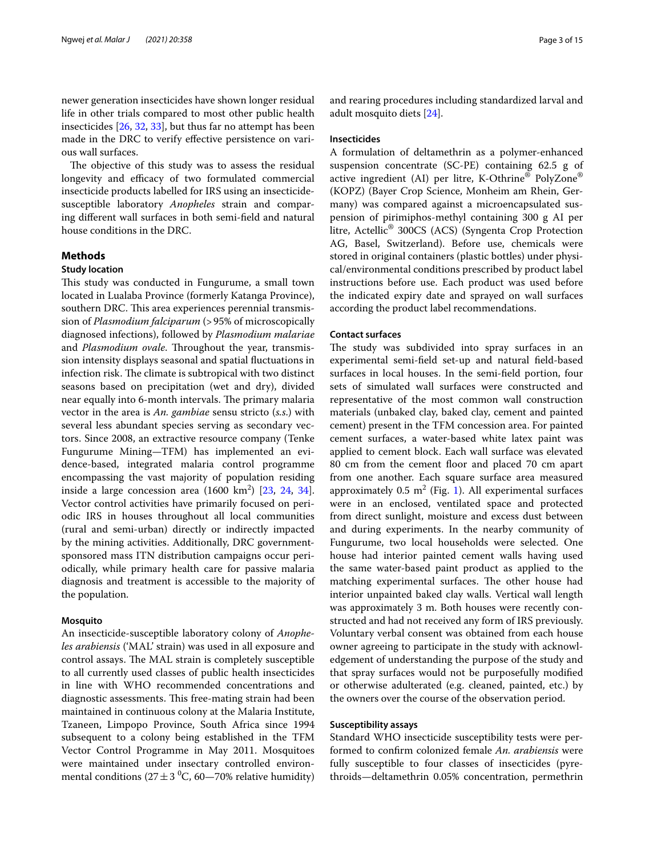newer generation insecticides have shown longer residual life in other trials compared to most other public health insecticides [\[26,](#page-13-20) [32](#page-14-3), [33\]](#page-14-4), but thus far no attempt has been made in the DRC to verify efective persistence on various wall surfaces.

The objective of this study was to assess the residual longevity and efficacy of two formulated commercial insecticide products labelled for IRS using an insecticidesusceptible laboratory *Anopheles* strain and comparing diferent wall surfaces in both semi-feld and natural house conditions in the DRC.

## **Methods**

## **Study location**

This study was conducted in Fungurume, a small town located in Lualaba Province (formerly Katanga Province), southern DRC. This area experiences perennial transmission of *Plasmodium falciparum* (>95% of microscopically diagnosed infections), followed by *Plasmodium malariae* and *Plasmodium ovale*. Throughout the year, transmission intensity displays seasonal and spatial fuctuations in infection risk. The climate is subtropical with two distinct seasons based on precipitation (wet and dry), divided near equally into 6-month intervals. The primary malaria vector in the area is *An. gambiae* sensu stricto (*s.s*.) with several less abundant species serving as secondary vectors. Since 2008, an extractive resource company (Tenke Fungurume Mining—TFM) has implemented an evidence-based, integrated malaria control programme encompassing the vast majority of population residing inside a large concession area  $(1600 \text{ km}^2)$   $[23, 24, 34]$  $[23, 24, 34]$  $[23, 24, 34]$  $[23, 24, 34]$  $[23, 24, 34]$  $[23, 24, 34]$  $[23, 24, 34]$ . Vector control activities have primarily focused on periodic IRS in houses throughout all local communities (rural and semi-urban) directly or indirectly impacted by the mining activities. Additionally, DRC governmentsponsored mass ITN distribution campaigns occur periodically, while primary health care for passive malaria diagnosis and treatment is accessible to the majority of the population.

#### **Mosquito**

An insecticide-susceptible laboratory colony of *Anopheles arabiensis* ('MAL' strain) was used in all exposure and control assays. The MAL strain is completely susceptible to all currently used classes of public health insecticides in line with WHO recommended concentrations and diagnostic assessments. This free-mating strain had been maintained in continuous colony at the Malaria Institute, Tzaneen, Limpopo Province, South Africa since 1994 subsequent to a colony being established in the TFM Vector Control Programme in May 2011. Mosquitoes were maintained under insectary controlled environmental conditions (27  $\pm$  3 <sup>0</sup>C, 60—70% relative humidity) and rearing procedures including standardized larval and adult mosquito diets [\[24\]](#page-13-23).

#### **Insecticides**

A formulation of deltamethrin as a polymer-enhanced suspension concentrate (SC-PE) containing 62.5 g of active ingredient (AI) per litre, K-Othrine® PolyZone® (KOPZ) (Bayer Crop Science, Monheim am Rhein, Germany) was compared against a microencapsulated suspension of pirimiphos-methyl containing 300 g AI per litre, Actellic® 300CS (ACS) (Syngenta Crop Protection AG, Basel, Switzerland). Before use, chemicals were stored in original containers (plastic bottles) under physical/environmental conditions prescribed by product label instructions before use. Each product was used before the indicated expiry date and sprayed on wall surfaces according the product label recommendations.

#### **Contact surfaces**

The study was subdivided into spray surfaces in an experimental semi-feld set-up and natural feld-based surfaces in local houses. In the semi-feld portion, four sets of simulated wall surfaces were constructed and representative of the most common wall construction materials (unbaked clay, baked clay, cement and painted cement) present in the TFM concession area. For painted cement surfaces, a water-based white latex paint was applied to cement block. Each wall surface was elevated 80 cm from the cement floor and placed 70 cm apart from one another. Each square surface area measured approximately  $0.5 \text{ m}^2$  (Fig. [1\)](#page-3-0). All experimental surfaces were in an enclosed, ventilated space and protected from direct sunlight, moisture and excess dust between and during experiments. In the nearby community of Fungurume, two local households were selected. One house had interior painted cement walls having used the same water-based paint product as applied to the matching experimental surfaces. The other house had interior unpainted baked clay walls. Vertical wall length was approximately 3 m. Both houses were recently constructed and had not received any form of IRS previously. Voluntary verbal consent was obtained from each house owner agreeing to participate in the study with acknowledgement of understanding the purpose of the study and that spray surfaces would not be purposefully modifed or otherwise adulterated (e.g. cleaned, painted, etc.) by the owners over the course of the observation period.

## **Susceptibility assays**

Standard WHO insecticide susceptibility tests were performed to confrm colonized female *An. arabiensis* were fully susceptible to four classes of insecticides (pyrethroids—deltamethrin 0.05% concentration, permethrin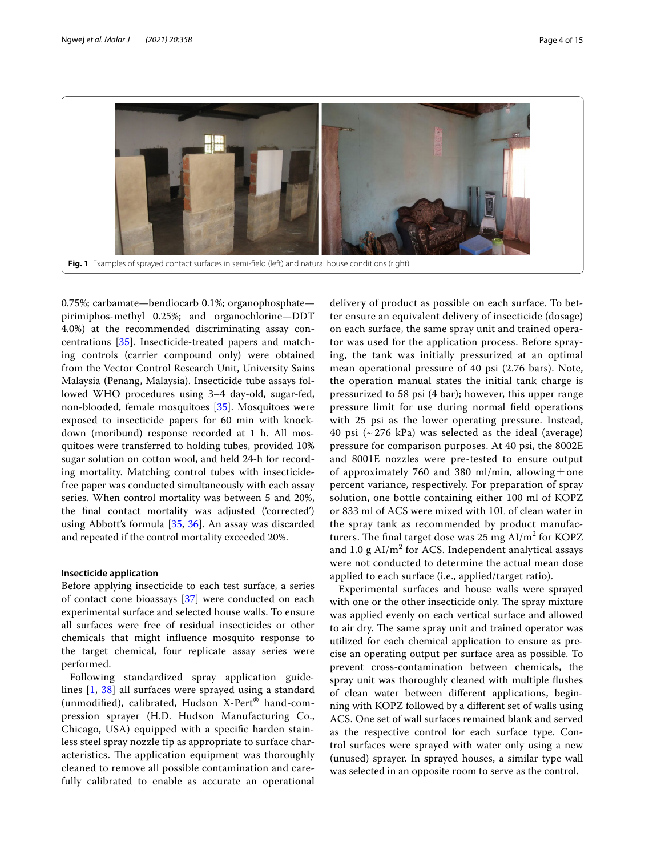

<span id="page-3-0"></span>0.75%; carbamate—bendiocarb 0.1%; organophosphate pirimiphos-methyl 0.25%; and organochlorine—DDT 4.0%) at the recommended discriminating assay concentrations [[35\]](#page-14-6). Insecticide-treated papers and matching controls (carrier compound only) were obtained from the Vector Control Research Unit, University Sains Malaysia (Penang, Malaysia). Insecticide tube assays followed WHO procedures using 3–4 day-old, sugar-fed, non-blooded, female mosquitoes [\[35](#page-14-6)]. Mosquitoes were exposed to insecticide papers for 60 min with knockdown (moribund) response recorded at 1 h. All mosquitoes were transferred to holding tubes, provided 10% sugar solution on cotton wool, and held 24-h for recording mortality. Matching control tubes with insecticidefree paper was conducted simultaneously with each assay series. When control mortality was between 5 and 20%, the fnal contact mortality was adjusted ('corrected') using Abbott's formula [\[35](#page-14-6), [36](#page-14-7)]. An assay was discarded and repeated if the control mortality exceeded 20%.

## **Insecticide application**

Before applying insecticide to each test surface, a series of contact cone bioassays [[37](#page-14-8)] were conducted on each experimental surface and selected house walls. To ensure all surfaces were free of residual insecticides or other chemicals that might infuence mosquito response to the target chemical, four replicate assay series were performed.

Following standardized spray application guidelines [[1,](#page-13-0) [38\]](#page-14-9) all surfaces were sprayed using a standard (unmodifed), calibrated, Hudson X-Pert® hand-compression sprayer (H.D. Hudson Manufacturing Co., Chicago, USA) equipped with a specifc harden stainless steel spray nozzle tip as appropriate to surface characteristics. The application equipment was thoroughly cleaned to remove all possible contamination and carefully calibrated to enable as accurate an operational

delivery of product as possible on each surface. To better ensure an equivalent delivery of insecticide (dosage) on each surface, the same spray unit and trained operator was used for the application process. Before spraying, the tank was initially pressurized at an optimal mean operational pressure of 40 psi (2.76 bars). Note, the operation manual states the initial tank charge is pressurized to 58 psi (4 bar); however, this upper range pressure limit for use during normal feld operations with 25 psi as the lower operating pressure. Instead, 40 psi  $({\sim}276 \text{ kPa})$  was selected as the ideal (average) pressure for comparison purposes. At 40 psi, the 8002E and 8001E nozzles were pre-tested to ensure output of approximately 760 and 380 ml/min, allowing  $\pm$  one percent variance, respectively. For preparation of spray solution, one bottle containing either 100 ml of KOPZ or 833 ml of ACS were mixed with 10L of clean water in the spray tank as recommended by product manufacturers. The final target dose was 25 mg  $\text{Al/m}^2$  for KOPZ and  $1.0 \text{ g Al/m}^2$  for ACS. Independent analytical assays were not conducted to determine the actual mean dose applied to each surface (i.e., applied/target ratio).

Experimental surfaces and house walls were sprayed with one or the other insecticide only. The spray mixture was applied evenly on each vertical surface and allowed to air dry. The same spray unit and trained operator was utilized for each chemical application to ensure as precise an operating output per surface area as possible. To prevent cross-contamination between chemicals, the spray unit was thoroughly cleaned with multiple fushes of clean water between diferent applications, beginning with KOPZ followed by a diferent set of walls using ACS. One set of wall surfaces remained blank and served as the respective control for each surface type. Control surfaces were sprayed with water only using a new (unused) sprayer. In sprayed houses, a similar type wall was selected in an opposite room to serve as the control.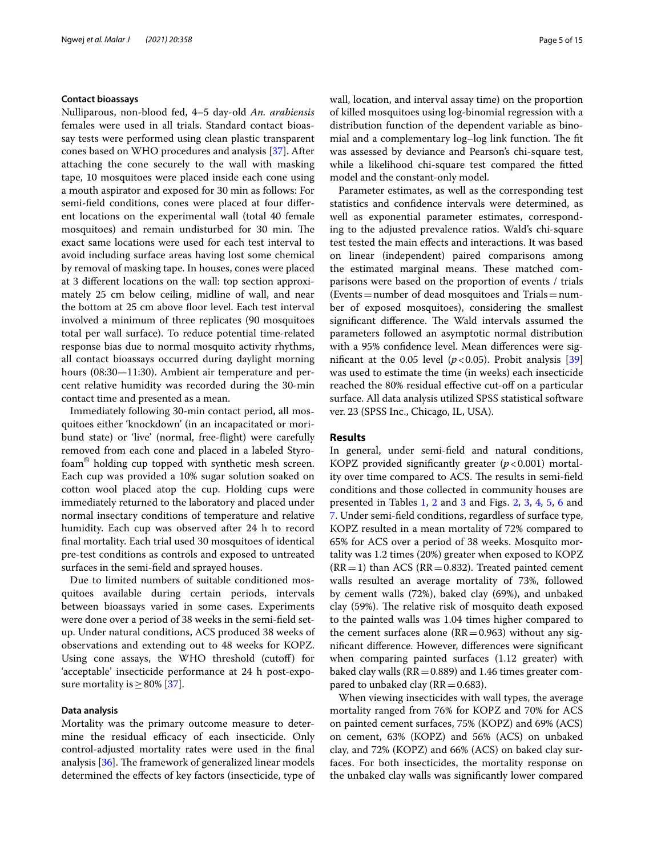#### **Contact bioassays**

Nulliparous, non-blood fed, 4–5 day-old *An. arabiensis* females were used in all trials. Standard contact bioassay tests were performed using clean plastic transparent cones based on WHO procedures and analysis [[37](#page-14-8)]. After attaching the cone securely to the wall with masking tape, 10 mosquitoes were placed inside each cone using a mouth aspirator and exposed for 30 min as follows: For semi-feld conditions, cones were placed at four diferent locations on the experimental wall (total 40 female mosquitoes) and remain undisturbed for 30 min. The exact same locations were used for each test interval to avoid including surface areas having lost some chemical by removal of masking tape. In houses, cones were placed at 3 diferent locations on the wall: top section approximately 25 cm below ceiling, midline of wall, and near the bottom at 25 cm above floor level. Each test interval involved a minimum of three replicates (90 mosquitoes total per wall surface). To reduce potential time-related response bias due to normal mosquito activity rhythms, all contact bioassays occurred during daylight morning hours (08:30—11:30). Ambient air temperature and percent relative humidity was recorded during the 30-min contact time and presented as a mean.

Immediately following 30-min contact period, all mosquitoes either 'knockdown' (in an incapacitated or moribund state) or 'live' (normal, free-fight) were carefully removed from each cone and placed in a labeled Styrofoam® holding cup topped with synthetic mesh screen. Each cup was provided a 10% sugar solution soaked on cotton wool placed atop the cup. Holding cups were immediately returned to the laboratory and placed under normal insectary conditions of temperature and relative humidity. Each cup was observed after 24 h to record fnal mortality. Each trial used 30 mosquitoes of identical pre-test conditions as controls and exposed to untreated surfaces in the semi-feld and sprayed houses.

Due to limited numbers of suitable conditioned mosquitoes available during certain periods, intervals between bioassays varied in some cases. Experiments were done over a period of 38 weeks in the semi-feld setup. Under natural conditions, ACS produced 38 weeks of observations and extending out to 48 weeks for KOPZ. Using cone assays, the WHO threshold (cutof) for 'acceptable' insecticide performance at 24 h post-exposure mortality is  $\geq$  80% [\[37\]](#page-14-8).

#### **Data analysis**

Mortality was the primary outcome measure to determine the residual efficacy of each insecticide. Only control-adjusted mortality rates were used in the fnal analysis  $[36]$  $[36]$ . The framework of generalized linear models determined the efects of key factors (insecticide, type of wall, location, and interval assay time) on the proportion of killed mosquitoes using log-binomial regression with a distribution function of the dependent variable as binomial and a complementary log–log link function. The fit was assessed by deviance and Pearson's chi-square test, while a likelihood chi-square test compared the ftted model and the constant-only model.

Parameter estimates, as well as the corresponding test statistics and confdence intervals were determined, as well as exponential parameter estimates, corresponding to the adjusted prevalence ratios. Wald's chi-square test tested the main efects and interactions. It was based on linear (independent) paired comparisons among the estimated marginal means. These matched comparisons were based on the proportion of events / trials  $(Events = number of dead mosquitoes and Trials = num$ ber of exposed mosquitoes), considering the smallest significant difference. The Wald intervals assumed the parameters followed an asymptotic normal distribution with a 95% confdence level. Mean diferences were significant at the 0.05 level ( $p < 0.05$ ). Probit analysis [[39](#page-14-10)] was used to estimate the time (in weeks) each insecticide reached the 80% residual effective cut-off on a particular surface. All data analysis utilized SPSS statistical software ver. 23 (SPSS Inc., Chicago, IL, USA).

#### **Results**

In general, under semi-feld and natural conditions, KOPZ provided significantly greater  $(p<0.001)$  mortality over time compared to ACS. The results in semi-field conditions and those collected in community houses are presented in Tables [1,](#page-5-0) [2](#page-6-0) and [3](#page-6-1) and Figs. [2,](#page-7-0) [3](#page-7-1), [4,](#page-8-0) [5,](#page-8-1) [6](#page-9-0) and [7.](#page-9-1) Under semi-feld conditions, regardless of surface type, KOPZ resulted in a mean mortality of 72% compared to 65% for ACS over a period of 38 weeks. Mosquito mortality was 1.2 times (20%) greater when exposed to KOPZ  $(RR=1)$  than ACS  $(RR=0.832)$ . Treated painted cement walls resulted an average mortality of 73%, followed by cement walls (72%), baked clay (69%), and unbaked clay (59%). The relative risk of mosquito death exposed to the painted walls was 1.04 times higher compared to the cement surfaces alone  $(RR=0.963)$  without any signifcant diference. However, diferences were signifcant when comparing painted surfaces (1.12 greater) with baked clay walls ( $RR = 0.889$ ) and 1.46 times greater compared to unbaked clay ( $RR = 0.683$ ).

When viewing insecticides with wall types, the average mortality ranged from 76% for KOPZ and 70% for ACS on painted cement surfaces, 75% (KOPZ) and 69% (ACS) on cement, 63% (KOPZ) and 56% (ACS) on unbaked clay, and 72% (KOPZ) and 66% (ACS) on baked clay surfaces. For both insecticides, the mortality response on the unbaked clay walls was signifcantly lower compared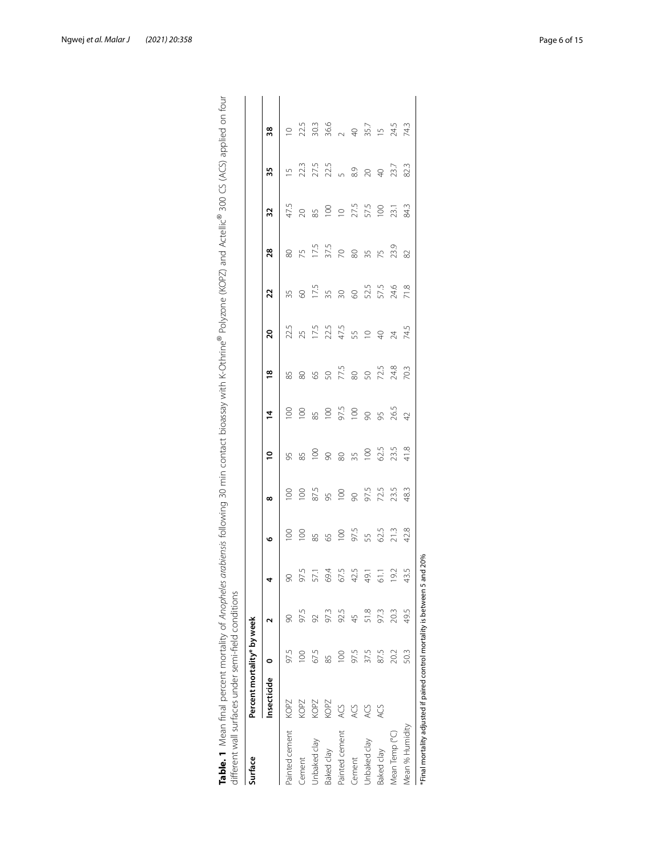| Surface           | Percent mortality* by week |               |      |                 |                         |                                     |        |                |               |                 |                    |                     |                                               |                |                                                |
|-------------------|----------------------------|---------------|------|-----------------|-------------------------|-------------------------------------|--------|----------------|---------------|-----------------|--------------------|---------------------|-----------------------------------------------|----------------|------------------------------------------------|
|                   | Insecticide                | c             |      |                 | م                       | $\infty$                            | S      | 4              | $\frac{8}{1}$ | $\overline{20}$ | 22                 | 28                  | 32                                            | 35             | 38                                             |
| Painted cement    | KOPZ                       | 97.5          | 8    | $\infty$        | $\overline{0}$          | $\overline{100}$                    | 95     | $\overline{5}$ | 85            | 22.5            | 35                 | 80                  | 47.5                                          | $\overline{2}$ | $\supseteq$                                    |
| Cement            | KOPZ                       | $\approx 0$   | 97.5 | 97.5            | 100                     | 100                                 | 85     | 100            | $\infty$      |                 | $\infty$           | 75                  | $\infty$                                      |                | 22.5                                           |
| Jnbaked clay      | KOPZ                       | 67.5          |      | 57.1            |                         |                                     | 888 m8 |                | <b>50</b>     |                 |                    |                     | $\begin{array}{c} 50 \\ 20 \\ 30 \end{array}$ |                | 30.3                                           |
| Baked clay        | KOPZ                       | 85            | 973  | 69.4            | 85<br>65                |                                     |        | 85<br>100      |               |                 | $17.5$<br>35<br>30 | $\frac{17.5}{37.5}$ |                                               |                |                                                |
| Painted cement    | ACS                        | $\frac{8}{2}$ | 92.5 | 67.5            |                         |                                     |        |                |               |                 |                    |                     |                                               |                |                                                |
| Cement            | <b>ACS</b>                 | 97.5          |      | 42.5            | $100$<br>$97.5$<br>$55$ |                                     |        | 3.508          | $77.5$ 80     |                 | 60                 |                     |                                               |                |                                                |
| Jnbaked clay      | ACS                        | 37.5          |      | 49.1            |                         | 87.5<br>85<br>8 9 9 7.2.5<br>7 72.5 |        |                |               |                 | 52.5<br>57.5       | 80 35 75            | 27.5<br>57.5                                  |                | $36.6$<br>$24.5$<br>$46.7$<br>$55.7$<br>$24.5$ |
| <b>Saked</b> clay | <b>ACS</b>                 | 87.5          | 973  | $\overline{61}$ | 62.5                    |                                     | 62.5   | 95             | 50<br>72.5    |                 |                    |                     |                                               |                |                                                |
| Mean Temp (°C)    |                            | 20.2          | 20.3 | 19.2            | 21.3                    | 23.5                                | 23.5   | 26.5           | 24.8          |                 | 24.6               | 23.9                | 23.1                                          | 23.7           |                                                |
| Mean % Humidity   |                            | 50.3          | 49.5 | 43.5            | 42.8                    | 48.3                                | 41.8   | $\overline{4}$ | 70.3          |                 | 71.8               | 82                  | 84.3                                          | 82.3           | 74.3                                           |

| ا<br>ا<br><b>1</b><br>i                                       |                                              |  |
|---------------------------------------------------------------|----------------------------------------------|--|
|                                                               |                                              |  |
| うち こしょこ しし とらに 習り三つすく てょう くりロくこ                               |                                              |  |
| $\sim$ $\sim$ $\sim$ $\sim$                                   |                                              |  |
| $\ddot{\phantom{0}}$<br>∷<br>اح                               |                                              |  |
| $+ 1222222 + 11$<br>)<br>)<br>)<br>)                          |                                              |  |
| )<br>)<br>)<br>)<br>)<br>thats on invitation D<br>j           |                                              |  |
| ∩c ∽~innll<br>)<br>)<br>)<br>)<br>)<br>)<br>)<br>$\mathbf{r}$ |                                              |  |
| י<br>י<br>こうこうこうこう                                            |                                              |  |
| フラス 2<br>nn n'n<br>Ó<br>١                                     | $\overline{\phantom{a}}$<br>ċ<br>ད<br>l<br>ļ |  |
| ٦<br>l<br>$\frac{1}{2}$                                       | Ī<br>l<br>i<br>İ<br>í                        |  |
| j<br>í<br>ļ                                                   | Ì<br>Ï<br>١<br>١<br>j<br>١<br>j              |  |
| i<br>J<br>ý                                                   | iss                                          |  |
|                                                               | ֺ                                            |  |

<span id="page-5-0"></span>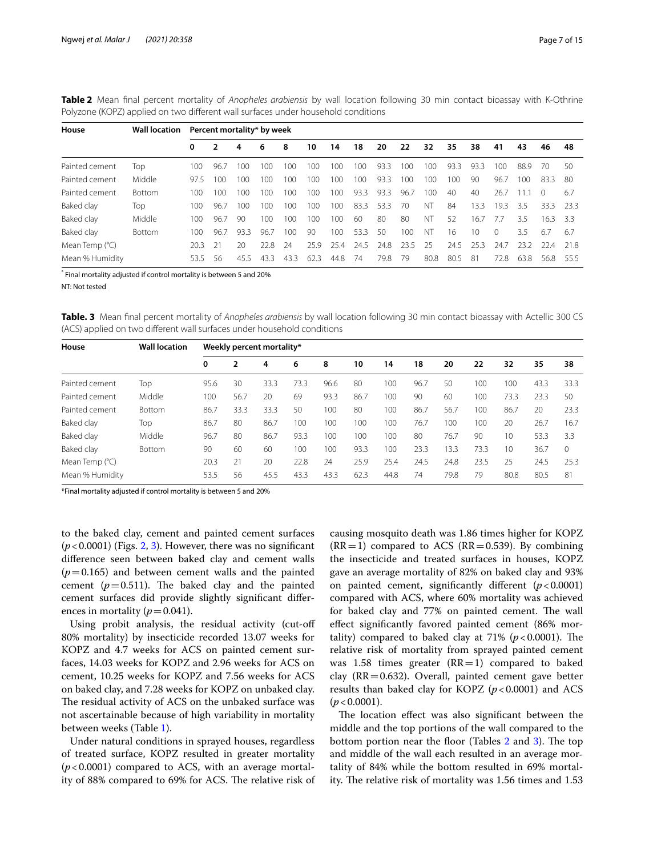|                | <b>Note a</b> mean man percent mortanty or <i>imopileits</i> arabiensis by wan rocation ronowing so mini contact bioassay with it othinic<br>Polyzone (KOPZ) applied on two different wall surfaces under household conditions |     |      |      |     |     |     |         |      |      |      |     |     |      |      |         |      |      |
|----------------|--------------------------------------------------------------------------------------------------------------------------------------------------------------------------------------------------------------------------------|-----|------|------|-----|-----|-----|---------|------|------|------|-----|-----|------|------|---------|------|------|
| House          | Wall location Percent mortality* by week                                                                                                                                                                                       |     |      |      |     |     |     |         |      |      |      |     |     |      |      |         |      |      |
|                |                                                                                                                                                                                                                                | 0   |      | 4    | 6   | 8   | 10  | 14      | 18   | 20   | 22   | 32  | 35  | 38   | 41   | 43      | 46   | 48   |
| Painted cement | Top                                                                                                                                                                                                                            | 100 | 96.7 | 100. | 100 | 100 | 100 | 100     | 100  | 933  | 100  | 100 | 933 | 933  | 100  | 889     | - 70 | -50  |
| Painted cement | Middle                                                                                                                                                                                                                         | 975 | 100  | 100  | 100 | 100 | 100 | $100 -$ | 100  | 933  | 100  | 100 | 100 | 90   | 967  | $100 -$ | 833  | -80  |
| Painted cement | <b>Bottom</b>                                                                                                                                                                                                                  | 100 | 100  | 100  | 100 | 100 | 100 | 100     | 93.3 | 93.3 | 96.7 | 100 | 40  | 40   | 26.7 | 111     |      | 6.7  |
| Baked clay     | Top                                                                                                                                                                                                                            | 100 | 96.7 | 100. | 100 | 100 | 100 | 100     | 83.3 | 53.3 | 70   | NТ  | 84  | 13.3 | 19.3 | 35      | 333  | -233 |

<span id="page-6-0"></span>**Table 2** Mean fnal percent mortality of *Anopheles arabiensis* by wall location following 30 min contact bioassay with K-Othrine Polyzone (KOPZ) applied on two diferent wall surfaces under household conditions

\* Final mortality adjusted if control mortality is between 5 and 20%

NT: Not tested

<span id="page-6-1"></span>**Table. 3** Mean fnal percent mortality of *Anopheles arabiensis* by wall location following 30 min contact bioassay with Actellic 300 CS (ACS) applied on two diferent wall surfaces under household conditions

Baked clay Middle 100 96.7 90 100 100 100 100 60 80 80 NT 52 16.7 7.7 3.5 16.3 3.3 Baked clay Bottom 100 96.7 93.3 96.7 100 90 100 53.3 50 100 NT 16 10 0 3.5 6.7 6.7 Mean Temp (°C) 20.3 21 20 22.8 24 25.9 25.4 24.5 24.8 23.5 25 24.5 25.3 24.7 23.2 22.4 21.8 Mean % Humidity 53.5 56 45.5 43.3 43.3 62.3 44.8 74 79.8 79 80.8 80.5 81 72.8 63.8 56.8 55.5

| House                   | <b>Wall location</b> |      | Weekly percent mortality* |      |      |      |      |      |      |      |      |      |      |          |
|-------------------------|----------------------|------|---------------------------|------|------|------|------|------|------|------|------|------|------|----------|
|                         |                      | 0    | 2                         | 4    | 6    | 8    | 10   | 14   | 18   | 20   | 22   | 32   | 35   | 38       |
| Painted cement          | Top                  | 95.6 | 30                        | 33.3 | 73.3 | 96.6 | 80   | 100  | 96.7 | 50   | 100  | 100  | 43.3 | 33.3     |
| Painted cement          | Middle               | 100  | 56.7                      | 20   | 69   | 93.3 | 86.7 | 100  | 90   | 60   | 100  | 73.3 | 23.3 | 50       |
| Painted cement          | <b>Bottom</b>        | 86.7 | 33.3                      | 33.3 | 50   | 100  | 80   | 100  | 86.7 | 56.7 | 100  | 86.7 | 20   | 23.3     |
| Baked clay              | Top                  | 86.7 | 80                        | 86.7 | 100  | 100  | 100  | 100  | 76.7 | 100  | 100  | 20   | 26.7 | 16.7     |
| Baked clay              | Middle               | 96.7 | 80                        | 86.7 | 93.3 | 100  | 100  | 100  | 80   | 76.7 | 90   | 10   | 53.3 | 3.3      |
| Baked clay              | Bottom               | 90   | 60                        | 60   | 100  | 100  | 93.3 | 100  | 23.3 | 13.3 | 73.3 | 10   | 36.7 | $\Omega$ |
| Mean Temp $(^{\circ}C)$ |                      | 20.3 | 21                        | 20   | 22.8 | 24   | 25.9 | 25.4 | 24.5 | 24.8 | 23.5 | 25   | 24.5 | 25.3     |
| Mean % Humidity         |                      | 53.5 | 56                        | 45.5 | 43.3 | 43.3 | 62.3 | 44.8 | 74   | 79.8 | 79   | 80.8 | 80.5 | 81       |

\*Final mortality adjusted if control mortality is between 5 and 20%

to the baked clay, cement and painted cement surfaces (*p*<0.0001) (Figs. [2,](#page-7-0) [3](#page-7-1)). However, there was no signifcant diference seen between baked clay and cement walls  $(p=0.165)$  and between cement walls and the painted cement  $(p=0.511)$ . The baked clay and the painted cement surfaces did provide slightly signifcant diferences in mortality ( $p=0.041$ ).

Using probit analysis, the residual activity (cut-of 80% mortality) by insecticide recorded 13.07 weeks for KOPZ and 4.7 weeks for ACS on painted cement surfaces, 14.03 weeks for KOPZ and 2.96 weeks for ACS on cement, 10.25 weeks for KOPZ and 7.56 weeks for ACS on baked clay, and 7.28 weeks for KOPZ on unbaked clay. The residual activity of ACS on the unbaked surface was not ascertainable because of high variability in mortality between weeks (Table [1](#page-5-0)).

Under natural conditions in sprayed houses, regardless of treated surface, KOPZ resulted in greater mortality (*p*<0.0001) compared to ACS, with an average mortality of 88% compared to 69% for ACS. The relative risk of causing mosquito death was 1.86 times higher for KOPZ  $(RR=1)$  compared to ACS  $(RR=0.539)$ . By combining the insecticide and treated surfaces in houses, KOPZ gave an average mortality of 82% on baked clay and 93% on painted cement, signifcantly diferent (*p*<0.0001) compared with ACS, where 60% mortality was achieved for baked clay and 77% on painted cement. The wall efect signifcantly favored painted cement (86% mortality) compared to baked clay at  $71\%$  ( $p < 0.0001$ ). The relative risk of mortality from sprayed painted cement was 1.58 times greater  $(RR=1)$  compared to baked clay ( $RR = 0.632$ ). Overall, painted cement gave better results than baked clay for KOPZ (*p*<0.0001) and ACS  $(p < 0.0001)$ .

The location effect was also significant between the middle and the top portions of the wall compared to the bottom portion near the floor (Tables  $2$  and  $3$ ). The top and middle of the wall each resulted in an average mortality of 84% while the bottom resulted in 69% mortality. The relative risk of mortality was 1.56 times and 1.53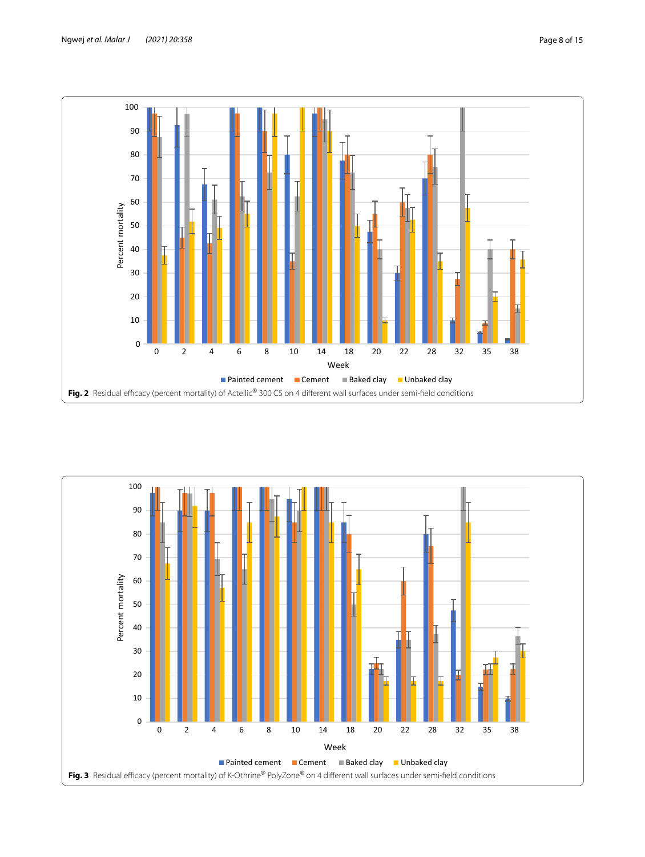

<span id="page-7-1"></span><span id="page-7-0"></span>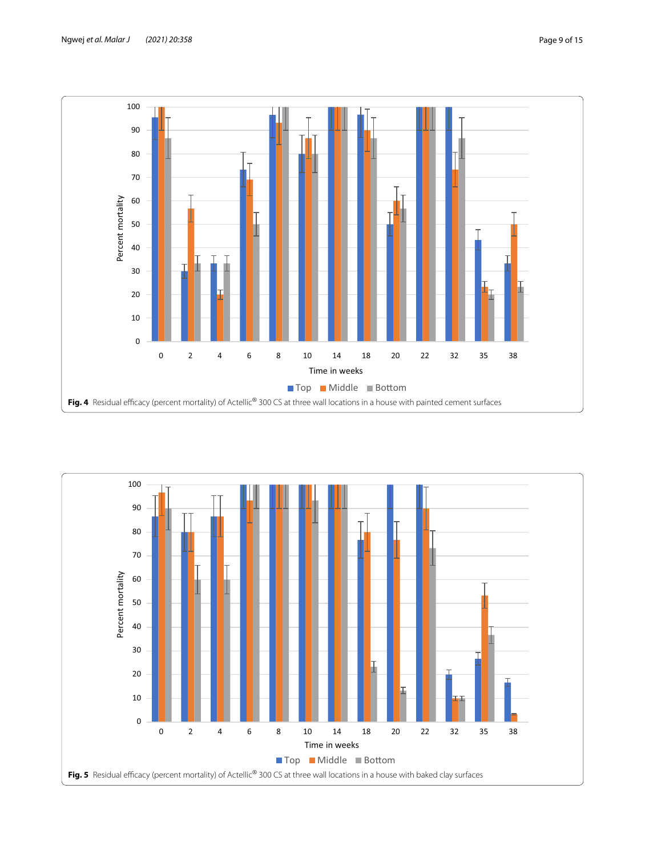

<span id="page-8-1"></span><span id="page-8-0"></span>

## Ngwej *et al. Malar J (2021) 20:358* Page 9 of 15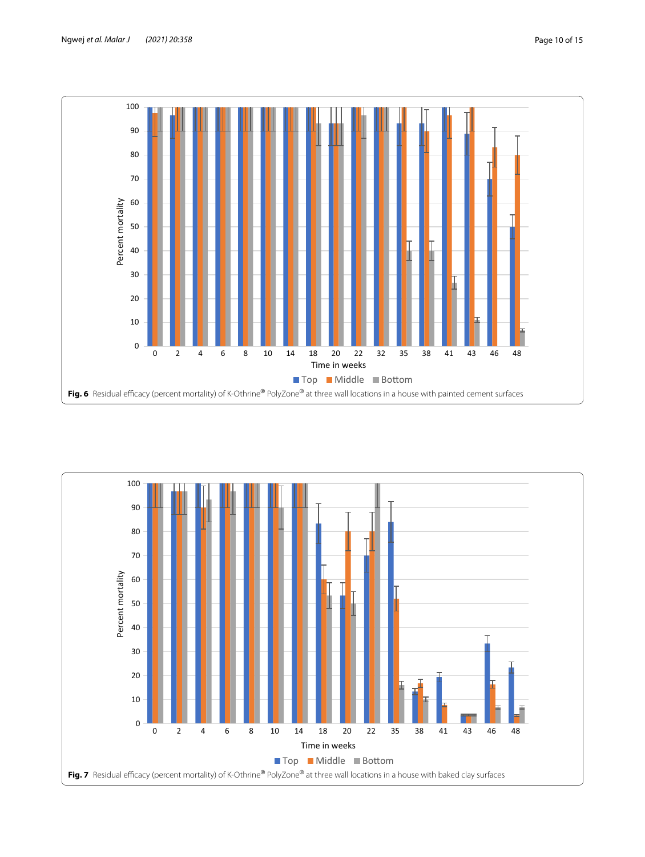

<span id="page-9-1"></span><span id="page-9-0"></span>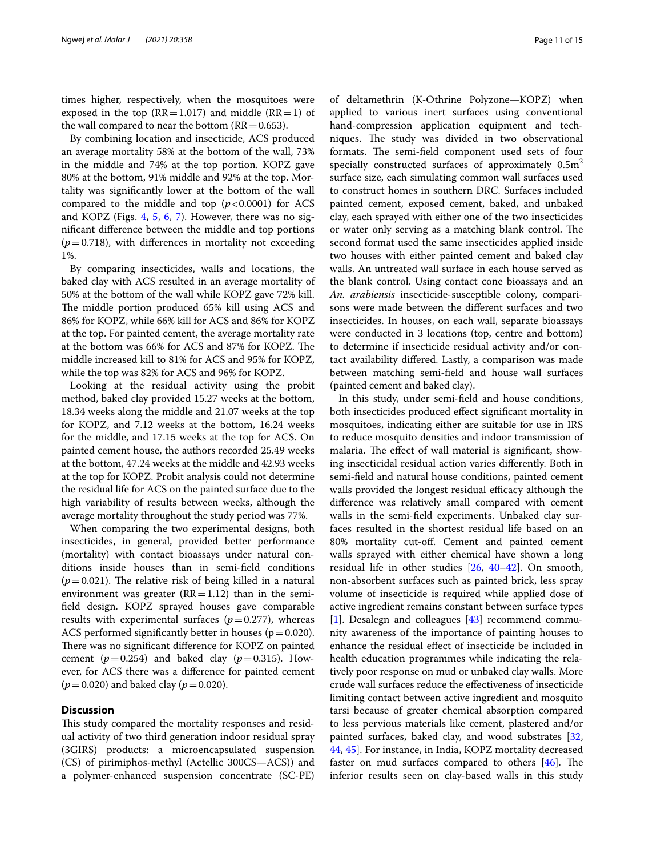times higher, respectively, when the mosquitoes were exposed in the top ( $RR = 1.017$ ) and middle ( $RR = 1$ ) of the wall compared to near the bottom  $(RR=0.653)$ .

By combining location and insecticide, ACS produced an average mortality 58% at the bottom of the wall, 73% in the middle and 74% at the top portion. KOPZ gave 80% at the bottom, 91% middle and 92% at the top. Mortality was signifcantly lower at the bottom of the wall compared to the middle and top  $(p<0.0001)$  for ACS and KOPZ (Figs. [4](#page-8-0), [5,](#page-8-1) [6](#page-9-0), [7](#page-9-1)). However, there was no signifcant diference between the middle and top portions  $(p=0.718)$ , with differences in mortality not exceeding 1%.

By comparing insecticides, walls and locations, the baked clay with ACS resulted in an average mortality of 50% at the bottom of the wall while KOPZ gave 72% kill. The middle portion produced 65% kill using ACS and 86% for KOPZ, while 66% kill for ACS and 86% for KOPZ at the top. For painted cement, the average mortality rate at the bottom was 66% for ACS and 87% for KOPZ. The middle increased kill to 81% for ACS and 95% for KOPZ, while the top was 82% for ACS and 96% for KOPZ.

Looking at the residual activity using the probit method, baked clay provided 15.27 weeks at the bottom, 18.34 weeks along the middle and 21.07 weeks at the top for KOPZ, and 7.12 weeks at the bottom, 16.24 weeks for the middle, and 17.15 weeks at the top for ACS. On painted cement house, the authors recorded 25.49 weeks at the bottom, 47.24 weeks at the middle and 42.93 weeks at the top for KOPZ. Probit analysis could not determine the residual life for ACS on the painted surface due to the high variability of results between weeks, although the average mortality throughout the study period was 77%.

When comparing the two experimental designs, both insecticides, in general, provided better performance (mortality) with contact bioassays under natural conditions inside houses than in semi-feld conditions  $(p=0.021)$ . The relative risk of being killed in a natural environment was greater  $(RR=1.12)$  than in the semifeld design. KOPZ sprayed houses gave comparable results with experimental surfaces  $(p=0.277)$ , whereas ACS performed significantly better in houses ( $p=0.020$ ). There was no significant difference for KOPZ on painted cement  $(p=0.254)$  and baked clay  $(p=0.315)$ . However, for ACS there was a diference for painted cement (*p*=0.020) and baked clay (*p*=0.020).

## **Discussion**

This study compared the mortality responses and residual activity of two third generation indoor residual spray (3GIRS) products: a microencapsulated suspension (CS) of pirimiphos-methyl (Actellic 300CS—ACS)) and a polymer-enhanced suspension concentrate (SC-PE)

of deltamethrin (K-Othrine Polyzone—KOPZ) when applied to various inert surfaces using conventional hand-compression application equipment and techniques. The study was divided in two observational formats. The semi-field component used sets of four specially constructed surfaces of approximately  $0.5m<sup>2</sup>$ surface size, each simulating common wall surfaces used to construct homes in southern DRC. Surfaces included painted cement, exposed cement, baked, and unbaked clay, each sprayed with either one of the two insecticides or water only serving as a matching blank control. The second format used the same insecticides applied inside two houses with either painted cement and baked clay walls. An untreated wall surface in each house served as the blank control. Using contact cone bioassays and an *An. arabiensis* insecticide-susceptible colony, comparisons were made between the diferent surfaces and two insecticides. In houses, on each wall, separate bioassays were conducted in 3 locations (top, centre and bottom) to determine if insecticide residual activity and/or contact availability difered. Lastly, a comparison was made

between matching semi-feld and house wall surfaces

(painted cement and baked clay). In this study, under semi-feld and house conditions, both insecticides produced efect signifcant mortality in mosquitoes, indicating either are suitable for use in IRS to reduce mosquito densities and indoor transmission of malaria. The effect of wall material is significant, showing insecticidal residual action varies diferently. Both in semi-feld and natural house conditions, painted cement walls provided the longest residual efficacy although the diference was relatively small compared with cement walls in the semi-feld experiments. Unbaked clay surfaces resulted in the shortest residual life based on an 80% mortality cut-of. Cement and painted cement walls sprayed with either chemical have shown a long residual life in other studies [[26,](#page-13-20) [40–](#page-14-11)[42](#page-14-12)]. On smooth, non-absorbent surfaces such as painted brick, less spray volume of insecticide is required while applied dose of active ingredient remains constant between surface types [[1\]](#page-13-0). Desalegn and colleagues [[43\]](#page-14-13) recommend community awareness of the importance of painting houses to enhance the residual efect of insecticide be included in health education programmes while indicating the relatively poor response on mud or unbaked clay walls. More crude wall surfaces reduce the efectiveness of insecticide limiting contact between active ingredient and mosquito tarsi because of greater chemical absorption compared to less pervious materials like cement, plastered and/or painted surfaces, baked clay, and wood substrates [[32](#page-14-3), [44,](#page-14-14) [45](#page-14-15)]. For instance, in India, KOPZ mortality decreased faster on mud surfaces compared to others  $[46]$  $[46]$ . The inferior results seen on clay-based walls in this study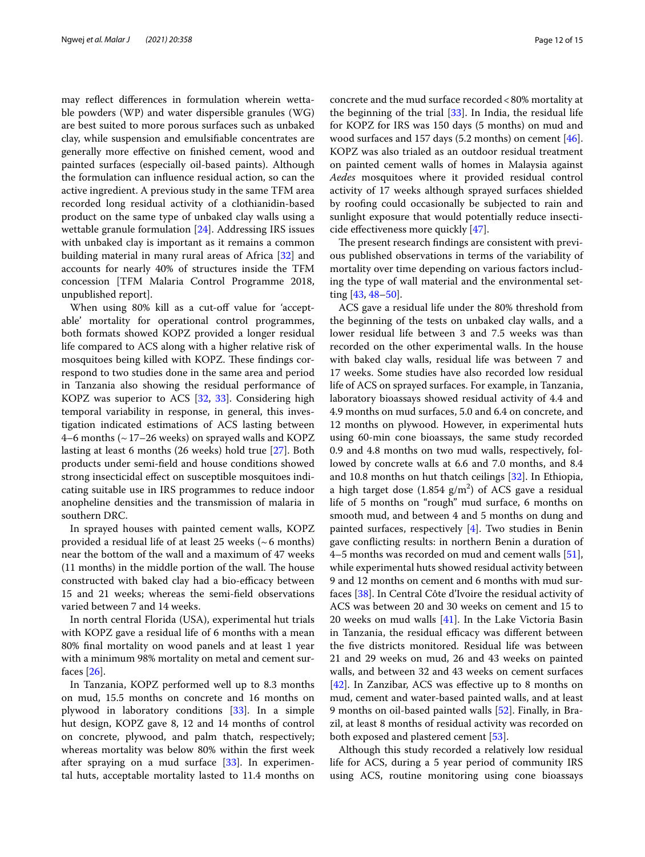may refect diferences in formulation wherein wettable powders (WP) and water dispersible granules (WG) are best suited to more porous surfaces such as unbaked clay, while suspension and emulsifable concentrates are generally more efective on fnished cement, wood and painted surfaces (especially oil-based paints). Although the formulation can infuence residual action, so can the active ingredient. A previous study in the same TFM area recorded long residual activity of a clothianidin-based product on the same type of unbaked clay walls using a wettable granule formulation [\[24](#page-13-23)]. Addressing IRS issues with unbaked clay is important as it remains a common building material in many rural areas of Africa [\[32\]](#page-14-3) and accounts for nearly 40% of structures inside the TFM concession [TFM Malaria Control Programme 2018, unpublished report].

When using 80% kill as a cut-off value for 'acceptable' mortality for operational control programmes, both formats showed KOPZ provided a longer residual life compared to ACS along with a higher relative risk of mosquitoes being killed with KOPZ. These findings correspond to two studies done in the same area and period in Tanzania also showing the residual performance of KOPZ was superior to ACS [[32,](#page-14-3) [33\]](#page-14-4). Considering high temporal variability in response, in general, this investigation indicated estimations of ACS lasting between 4–6 months (~17–26 weeks) on sprayed walls and KOPZ lasting at least 6 months (26 weeks) hold true [\[27](#page-13-21)]. Both products under semi-feld and house conditions showed strong insecticidal efect on susceptible mosquitoes indicating suitable use in IRS programmes to reduce indoor anopheline densities and the transmission of malaria in southern DRC.

In sprayed houses with painted cement walls, KOPZ provided a residual life of at least 25 weeks ( $\sim$ 6 months) near the bottom of the wall and a maximum of 47 weeks  $(11$  months) in the middle portion of the wall. The house constructed with baked clay had a bio-efficacy between 15 and 21 weeks; whereas the semi-feld observations varied between 7 and 14 weeks.

In north central Florida (USA), experimental hut trials with KOPZ gave a residual life of 6 months with a mean 80% fnal mortality on wood panels and at least 1 year with a minimum 98% mortality on metal and cement surfaces [\[26](#page-13-20)].

In Tanzania, KOPZ performed well up to 8.3 months on mud, 15.5 months on concrete and 16 months on plywood in laboratory conditions [\[33](#page-14-4)]. In a simple hut design, KOPZ gave 8, 12 and 14 months of control on concrete, plywood, and palm thatch, respectively; whereas mortality was below 80% within the frst week after spraying on a mud surface  $[33]$  $[33]$  $[33]$ . In experimental huts, acceptable mortality lasted to 11.4 months on concrete and the mud surface recorded<80% mortality at the beginning of the trial  $[33]$  $[33]$ . In India, the residual life for KOPZ for IRS was 150 days (5 months) on mud and wood surfaces and 157 days  $(5.2 \text{ months})$  on cement  $[46]$  $[46]$ . KOPZ was also trialed as an outdoor residual treatment on painted cement walls of homes in Malaysia against *Aedes* mosquitoes where it provided residual control activity of 17 weeks although sprayed surfaces shielded by roofng could occasionally be subjected to rain and sunlight exposure that would potentially reduce insecticide efectiveness more quickly [[47\]](#page-14-17).

The present research findings are consistent with previous published observations in terms of the variability of mortality over time depending on various factors including the type of wall material and the environmental setting [\[43](#page-14-13), [48](#page-14-18)[–50](#page-14-19)].

ACS gave a residual life under the 80% threshold from the beginning of the tests on unbaked clay walls, and a lower residual life between 3 and 7.5 weeks was than recorded on the other experimental walls. In the house with baked clay walls, residual life was between 7 and 17 weeks. Some studies have also recorded low residual life of ACS on sprayed surfaces. For example, in Tanzania, laboratory bioassays showed residual activity of 4.4 and 4.9 months on mud surfaces, 5.0 and 6.4 on concrete, and 12 months on plywood. However, in experimental huts using 60-min cone bioassays, the same study recorded 0.9 and 4.8 months on two mud walls, respectively, followed by concrete walls at 6.6 and 7.0 months, and 8.4 and 10.8 months on hut thatch ceilings [\[32](#page-14-3)]. In Ethiopia, a high target dose  $(1.854 \text{ g/m}^2)$  of ACS gave a residual life of 5 months on "rough" mud surface, 6 months on smooth mud, and between 4 and 5 months on dung and painted surfaces, respectively [\[4](#page-13-2)]. Two studies in Benin gave conficting results: in northern Benin a duration of 4–5 months was recorded on mud and cement walls [\[51](#page-14-20)], while experimental huts showed residual activity between 9 and 12 months on cement and 6 months with mud surfaces [[38](#page-14-9)]. In Central Côte d'Ivoire the residual activity of ACS was between 20 and 30 weeks on cement and 15 to 20 weeks on mud walls [[41](#page-14-21)]. In the Lake Victoria Basin in Tanzania, the residual efficacy was different between the fve districts monitored. Residual life was between 21 and 29 weeks on mud, 26 and 43 weeks on painted walls, and between 32 and 43 weeks on cement surfaces [[42\]](#page-14-12). In Zanzibar, ACS was efective up to 8 months on mud, cement and water-based painted walls, and at least 9 months on oil-based painted walls [\[52](#page-14-22)]. Finally, in Brazil, at least 8 months of residual activity was recorded on both exposed and plastered cement [[53\]](#page-14-23).

Although this study recorded a relatively low residual life for ACS, during a 5 year period of community IRS using ACS, routine monitoring using cone bioassays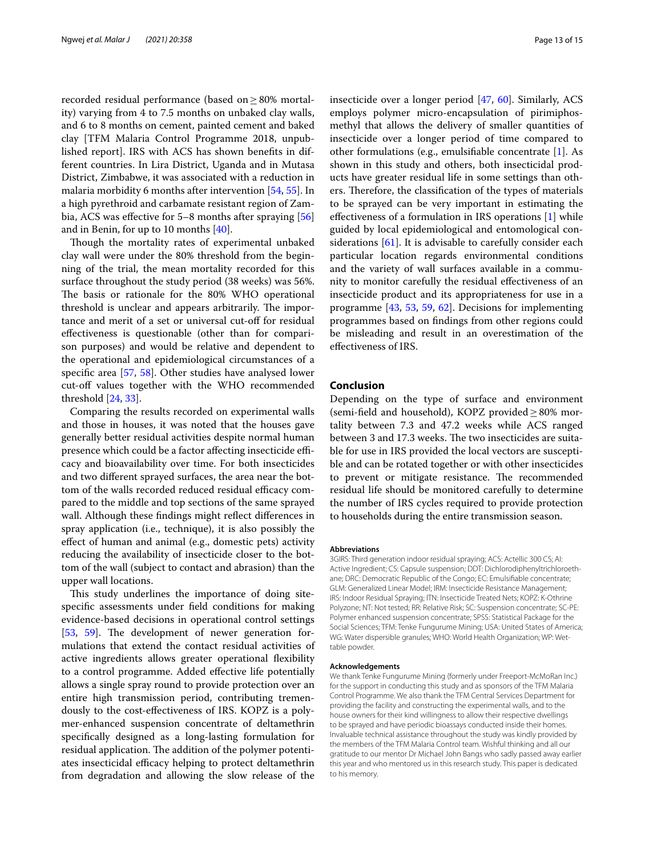recorded residual performance (based on≥80% mortality) varying from 4 to 7.5 months on unbaked clay walls, and 6 to 8 months on cement, painted cement and baked clay [TFM Malaria Control Programme 2018, unpublished report]. IRS with ACS has shown benefts in different countries. In Lira District, Uganda and in Mutasa District, Zimbabwe, it was associated with a reduction in malaria morbidity 6 months after intervention [\[54,](#page-14-24) [55](#page-14-25)]. In a high pyrethroid and carbamate resistant region of Zam-bia, ACS was effective for 5–8 months after spraying [[56](#page-14-26)] and in Benin, for up to 10 months [[40](#page-14-11)].

Though the mortality rates of experimental unbaked clay wall were under the 80% threshold from the beginning of the trial, the mean mortality recorded for this surface throughout the study period (38 weeks) was 56%. The basis or rationale for the 80% WHO operational threshold is unclear and appears arbitrarily. The importance and merit of a set or universal cut-of for residual efectiveness is questionable (other than for comparison purposes) and would be relative and dependent to the operational and epidemiological circumstances of a specifc area [\[57,](#page-14-27) [58](#page-14-28)]. Other studies have analysed lower cut-off values together with the WHO recommended threshold [\[24,](#page-13-23) [33](#page-14-4)].

Comparing the results recorded on experimental walls and those in houses, it was noted that the houses gave generally better residual activities despite normal human presence which could be a factor affecting insecticide efficacy and bioavailability over time. For both insecticides and two diferent sprayed surfaces, the area near the bottom of the walls recorded reduced residual efficacy compared to the middle and top sections of the same sprayed wall. Although these findings might reflect differences in spray application (i.e., technique), it is also possibly the efect of human and animal (e.g., domestic pets) activity reducing the availability of insecticide closer to the bottom of the wall (subject to contact and abrasion) than the upper wall locations.

This study underlines the importance of doing sitespecifc assessments under feld conditions for making evidence-based decisions in operational control settings  $[53, 59]$  $[53, 59]$  $[53, 59]$  $[53, 59]$ . The development of newer generation formulations that extend the contact residual activities of active ingredients allows greater operational fexibility to a control programme. Added efective life potentially allows a single spray round to provide protection over an entire high transmission period, contributing tremendously to the cost-efectiveness of IRS. KOPZ is a polymer-enhanced suspension concentrate of deltamethrin specifcally designed as a long-lasting formulation for residual application. The addition of the polymer potentiates insecticidal efficacy helping to protect deltamethrin from degradation and allowing the slow release of the insecticide over a longer period [\[47](#page-14-17), [60\]](#page-14-30). Similarly, ACS employs polymer micro-encapsulation of pirimiphosmethyl that allows the delivery of smaller quantities of insecticide over a longer period of time compared to other formulations (e.g., emulsifable concentrate [\[1](#page-13-0)]. As shown in this study and others, both insecticidal products have greater residual life in some settings than others. Therefore, the classification of the types of materials to be sprayed can be very important in estimating the efectiveness of a formulation in IRS operations [[1\]](#page-13-0) while guided by local epidemiological and entomological con-siderations [\[61](#page-14-31)]. It is advisable to carefully consider each particular location regards environmental conditions and the variety of wall surfaces available in a community to monitor carefully the residual efectiveness of an insecticide product and its appropriateness for use in a programme [\[43](#page-14-13), [53](#page-14-23), [59,](#page-14-29) [62\]](#page-14-32). Decisions for implementing programmes based on fndings from other regions could be misleading and result in an overestimation of the efectiveness of IRS.

## **Conclusion**

Depending on the type of surface and environment (semi-field and household), KOPZ provided  $\geq$  80% mortality between 7.3 and 47.2 weeks while ACS ranged between 3 and 17.3 weeks. The two insecticides are suitable for use in IRS provided the local vectors are susceptible and can be rotated together or with other insecticides to prevent or mitigate resistance. The recommended residual life should be monitored carefully to determine the number of IRS cycles required to provide protection to households during the entire transmission season.

#### **Abbreviations**

3GIRS: Third generation indoor residual spraying; ACS: Actellic 300 CS; AI: Active Ingredient; CS: Capsule suspension; DDT: Dichlorodiphenyltrichloroethane; DRC: Democratic Republic of the Congo; EC: Emulsifable concentrate; GLM: Generalized Linear Model; IRM: Insecticide Resistance Management; IRS: Indoor Residual Spraying; ITN: Insecticide Treated Nets; KOPZ: K-Othrine Polyzone; NT: Not tested; RR: Relative Risk; SC: Suspension concentrate; SC-PE: Polymer enhanced suspension concentrate; SPSS: Statistical Package for the Social Sciences; TFM: Tenke Fungurume Mining; USA: United States of America; WG: Water dispersible granules; WHO: World Health Organization; WP: Wettable powder.

#### **Acknowledgements**

We thank Tenke Fungurume Mining (formerly under Freeport-McMoRan Inc.) for the support in conducting this study and as sponsors of the TFM Malaria Control Programme. We also thank the TFM Central Services Department for providing the facility and constructing the experimental walls, and to the house owners for their kind willingness to allow their respective dwellings to be sprayed and have periodic bioassays conducted inside their homes. Invaluable technical assistance throughout the study was kindly provided by the members of the TFM Malaria Control team. Wishful thinking and all our gratitude to our mentor Dr Michael John Bangs who sadly passed away earlier this year and who mentored us in this research study. This paper is dedicated to his memory.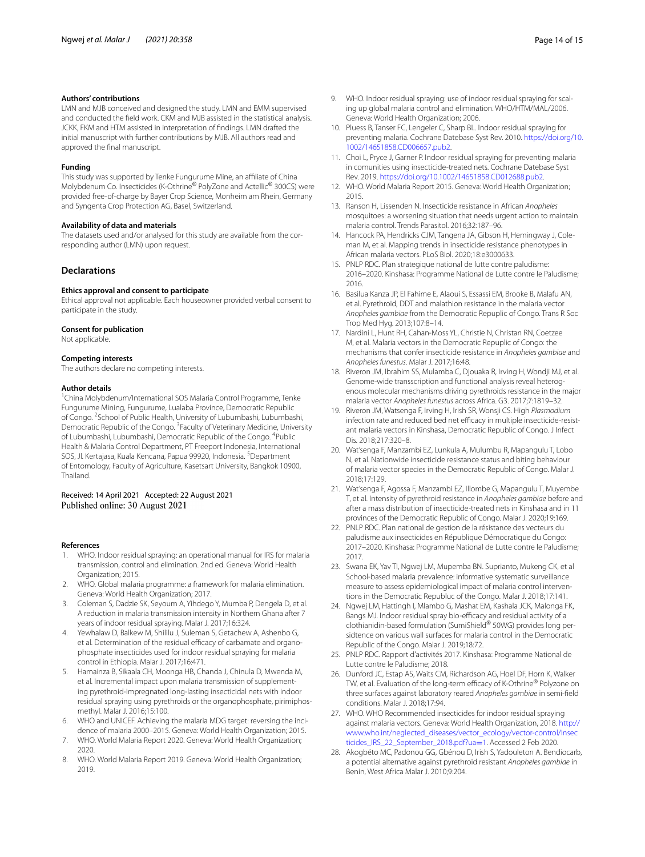#### **Authors' contributions**

LMN and MJB conceived and designed the study. LMN and EMM supervised and conducted the feld work. CKM and MJB assisted in the statistical analysis. JCKK, FKM and HTM assisted in interpretation of fndings. LMN drafted the initial manuscript with further contributions by MJB. All authors read and approved the fnal manuscript.

#### **Funding**

This study was supported by Tenke Fungurume Mine, an afliate of China Molybdenum Co. Insecticides (K-Othrine® PolyZone and Actellic® 300CS) were provided free-of-charge by Bayer Crop Science, Monheim am Rhein, Germany and Syngenta Crop Protection AG, Basel, Switzerland.

#### **Availability of data and materials**

The datasets used and/or analysed for this study are available from the corresponding author (LMN) upon request.

#### **Declarations**

#### **Ethics approval and consent to participate**

Ethical approval not applicable. Each houseowner provided verbal consent to participate in the study.

#### **Consent for publication**

Not applicable.

#### **Competing interests**

The authors declare no competing interests.

#### **Author details**

<sup>1</sup> China Molybdenum/International SOS Malaria Control Programme, Tenke Fungurume Mining, Fungurume, Lualaba Province, Democratic Republic of Congo. <sup>2</sup> School of Public Health, University of Lubumbashi, Lubumbashi, Democratic Republic of the Congo. <sup>3</sup> Faculty of Veterinary Medicine, University of Lubumbashi, Lubumbashi, Democratic Republic of the Congo. <sup>4</sup>Public Health & Malaria Control Department, PT Freeport Indonesia, International SOS, Jl. Kertajasa, Kuala Kencana, Papua 99920, Indonesia. <sup>5</sup>Department of Entomology, Faculty of Agriculture, Kasetsart University, Bangkok 10900, Thailand.

## Received: 14 April 2021 Accepted: 22 August 2021 Published online: 30 August 2021

#### **References**

- <span id="page-13-0"></span>1. WHO. Indoor residual spraying: an operational manual for IRS for malaria transmission, control and elimination. 2nd ed. Geneva: World Health Organization; 2015.
- 2. WHO. Global malaria programme: a framework for malaria elimination. Geneva: World Health Organization; 2017.
- <span id="page-13-1"></span>3. Coleman S, Dadzie SK, Seyoum A, Yihdego Y, Mumba P, Dengela D, et al. A reduction in malaria transmission intensity in Northern Ghana after 7 years of indoor residual spraying. Malar J. 2017;16:324.
- <span id="page-13-2"></span>4. Yewhalaw D, Balkew M, Shililu J, Suleman S, Getachew A, Ashenbo G, et al. Determination of the residual efficacy of carbamate and organophosphate insecticides used for indoor residual spraying for malaria control in Ethiopia. Malar J. 2017;16:471.
- <span id="page-13-3"></span>5. Hamainza B, Sikaala CH, Moonga HB, Chanda J, Chinula D, Mwenda M, et al. Incremental impact upon malaria transmission of supplementing pyrethroid-impregnated long-lasting insecticidal nets with indoor residual spraying using pyrethroids or the organophosphate, pirimiphosmethyl. Malar J. 2016;15:100.
- <span id="page-13-4"></span>6. WHO and UNICEF. Achieving the malaria MDG target: reversing the incidence of malaria 2000–2015. Geneva: World Health Organization; 2015.
- <span id="page-13-5"></span>7. WHO. World Malaria Report 2020. Geneva: World Health Organization; 2020.
- <span id="page-13-6"></span>8. WHO. World Malaria Report 2019. Geneva: World Health Organization; 2019.
- <span id="page-13-7"></span>9. WHO. Indoor residual spraying: use of indoor residual spraying for scaling up global malaria control and elimination. WHO/HTM/MAL/2006. Geneva: World Health Organization; 2006.
- <span id="page-13-8"></span>10. Pluess B, Tanser FC, Lengeler C, Sharp BL. Indoor residual spraying for preventing malaria. Cochrane Datebase Syst Rev. 2010. [https://doi.org/10.](https://doi.org/10.1002/14651858.CD006657.pub2) [1002/14651858.CD006657.pub2.](https://doi.org/10.1002/14651858.CD006657.pub2)
- <span id="page-13-9"></span>11. Choi L, Pryce J, Garner P. Indoor residual spraying for preventing malaria in comunities using insecticide-treated nets. Cochrane Datebase Syst Rev. 2019. [https://doi.org/10.1002/14651858.CD012688.pub2.](https://doi.org/10.1002/14651858.CD012688.pub2)
- <span id="page-13-10"></span>12. WHO. World Malaria Report 2015. Geneva: World Health Organization; 2015.
- <span id="page-13-11"></span>13. Ranson H, Lissenden N. Insecticide resistance in African *Anopheles* mosquitoes: a worsening situation that needs urgent action to maintain malaria control. Trends Parasitol. 2016;32:187–96.
- <span id="page-13-12"></span>14. Hancock PA, Hendricks CJM, Tangena JA, Gibson H, Hemingway J, Coleman M, et al. Mapping trends in insecticide resistance phenotypes in African malaria vectors. PLoS Biol. 2020;18:e3000633.
- <span id="page-13-13"></span>15. PNLP RDC. Plan strategique national de lutte contre paludisme: 2016–2020. Kinshasa: Programme National de Lutte contre le Paludisme; 2016.
- <span id="page-13-14"></span>16. Basilua Kanza JP, El Fahime E, Alaoui S, Essassi EM, Brooke B, Malafu AN, et al. Pyrethroid, DDT and malathion resistance in the malaria vector *Anopheles gambiae* from the Democratic Repuplic of Congo. Trans R Soc Trop Med Hyg. 2013;107:8–14.
- 17. Nardini L, Hunt RH, Cahan-Moss YL, Christie N, Christan RN, Coetzee M, et al. Malaria vectors in the Democratic Repuplic of Congo: the mechanisms that confer insecticide resistance in *Anopheles gambiae* and *Anopheles funestus*. Malar J. 2017;16:48.
- 18. Riveron JM, Ibrahim SS, Mulamba C, Djouaka R, Irving H, Wondji MJ, et al. Genome-wide transscription and functional analysis reveal heterogenous molecular mechanisms driving pyrethroids resistance in the major malaria vector *Anopheles funestus* across Africa. G3. 2017;7:1819–32.
- <span id="page-13-16"></span>19. Riveron JM, Watsenga F, Irving H, Irish SR, Wonsji CS. High *Plasmodium* infection rate and reduced bed net efficacy in multiple insecticide-resistant malaria vectors in Kinshasa, Democratic Republic of Congo. J Infect Dis. 2018;217:320–8.
- 20. Wat'senga F, Manzambi EZ, Lunkula A, Mulumbu R, Mapangulu T, Lobo N, et al. Nationwide insecticide resistance status and biting behaviour of malaria vector species in the Democratic Republic of Congo. Malar J. 2018;17:129.
- <span id="page-13-15"></span>21. Wat'senga F, Agossa F, Manzambi EZ, Illombe G, Mapangulu T, Muyembe T, et al. Intensity of pyrethroid resistance in *Anopheles gambiae* before and after a mass distribution of insecticide-treated nets in Kinshasa and in 11 provinces of the Democratic Republic of Congo. Malar J. 2020;19:169.
- <span id="page-13-17"></span>22. PNLP RDC. Plan national de gestion de la résistance des vecteurs du paludisme aux insecticides en République Démocratique du Congo: 2017–2020. Kinshasa: Programme National de Lutte contre le Paludisme; 2017.
- <span id="page-13-18"></span>23. Swana EK, Yav TI, Ngwej LM, Mupemba BN. Suprianto, Mukeng CK, et al School-based malaria prevalence: informative systematic surveillance measure to assess epidemiological impact of malaria control interventions in the Democratic Republuc of the Congo. Malar J. 2018;17:141.
- <span id="page-13-23"></span>24. Ngwej LM, Hattingh I, Mlambo G, Mashat EM, Kashala JCK, Malonga FK, Bangs MJ. Indoor residual spray bio-efficacy and residual activity of a clothianidin-based formulation (SumiShield® 50WG) provides long per‑ sidtence on various wall surfaces for malaria control in the Democratic Republic of the Congo. Malar J. 2019;18:72.
- <span id="page-13-19"></span>25. PNLP RDC. Rapport d'activités 2017. Kinshasa: Programme National de Lutte contre le Paludisme; 2018.
- <span id="page-13-20"></span>26. Dunford JC, Estap AS, Waits CM, Richardson AG, Hoel DF, Horn K, Walker TW, et al. Evaluation of the long-term efficacy of K-Othrine® Polyzone on three surfaces against laboratory reared *Anopheles gambiae* in semi-feld conditions. Malar J. 2018;17:94.
- <span id="page-13-21"></span>27. WHO. WHO Recommended insecticides for indoor residual spraying against malaria vectors. Geneva: World Health Organization, 2018. [http://](http://www.who.int/neglected_diseases/vector_ecology/vector-control/Insecticides_IRS_22_September_2018.pdf?ua=1) [www.who.int/neglected\\_diseases/vector\\_ecology/vector-control/Insec](http://www.who.int/neglected_diseases/vector_ecology/vector-control/Insecticides_IRS_22_September_2018.pdf?ua=1) [ticides\\_IRS\\_22\\_September\\_2018.pdf?ua](http://www.who.int/neglected_diseases/vector_ecology/vector-control/Insecticides_IRS_22_September_2018.pdf?ua=1)=1. Accessed 2 Feb 2020.
- <span id="page-13-22"></span>28. Akogbéto MC, Padonou GG, Gbénou D, Irish S, Yadouleton A. Bendiocarb, a potential alternative against pyrethroid resistant *Anopheles gambiae* in Benin, West Africa Malar J. 2010;9:204.